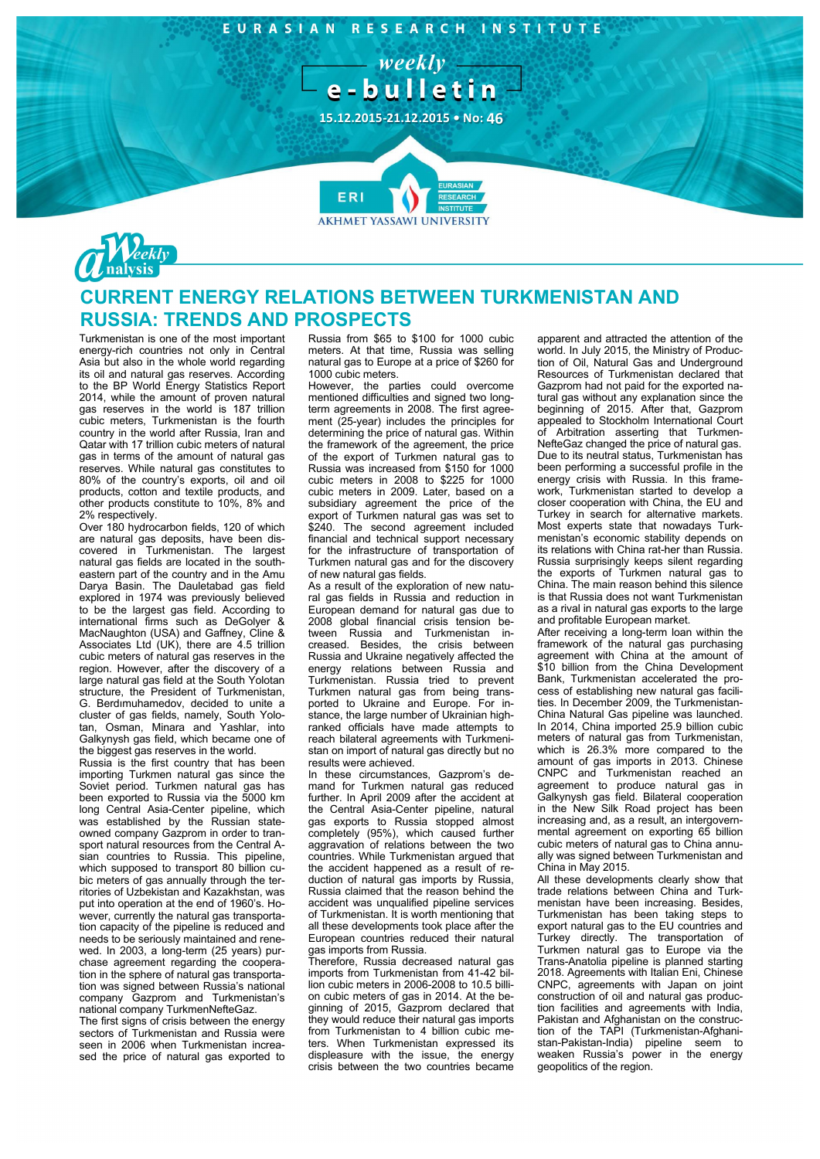#### EURASIAN RESEARCH INSTITUTE

- weekly e-bulletin

**15.12.2015-21.12.2015 • No: 46**

**AKHMET YASSAWI UNIVERSITY** 



# **CURRENT ENERGY RELATIONS BETWEEN TURKMENISTAN AND RUSSIA: TRENDS AND PROSPECTS**

**FR** 

Turkmenistan is one of the most important energy-rich countries not only in Central Asia but also in the whole world regarding its oil and natural gas reserves. According to the BP World Energy Statistics Report 2014, while the amount of proven natural gas reserves in the world is 187 trillion cubic meters, Turkmenistan is the fourth country in the world after Russia, Iran and Qatar with 17 trillion cubic meters of natural gas in terms of the amount of natural gas reserves. While natural gas constitutes to 80% of the country's exports, oil and oil products, cotton and textile products, and other products constitute to 10%, 8% and 2% respectively.

Over 180 hydrocarbon fields, 120 of which are natural gas deposits, have been discovered in Turkmenistan. The largest natural gas fields are located in the southeastern part of the country and in the Amu Darya Basin. The Dauletabad gas field explored in 1974 was previously believed to be the largest gas field. According to international firms such as DeGolyer & MacNaughton (USA) and Gaffney, Cline & Associates Ltd (UK), there are 4.5 trillion cubic meters of natural gas reserves in the region. However, after the discovery of a large natural gas field at the South Yolotan structure, the President of Turkmenistan, G. Berdımuhamedov, decided to unite a cluster of gas fields, namely, South Yolotan, Osman, Minara and Yashlar, into Galkynysh gas field, which became one of the biggest gas reserves in the world.

Russia is the first country that has been importing Turkmen natural gas since the Soviet period. Turkmen natural gas has been exported to Russia via the 5000 km long Central Asia-Center pipeline, which was established by the Russian stateowned company Gazprom in order to transport natural resources from the Central Asian countries to Russia. This pipeline, which supposed to transport 80 billion cubic meters of gas annually through the territories of Uzbekistan and Kazakhstan, was put into operation at the end of 1960's. However, currently the natural gas transportation capacity of the pipeline is reduced and needs to be seriously maintained and renewed. In 2003, a long-term (25 years) purchase agreement regarding the cooperation in the sphere of natural gas transportation was signed between Russia's national company Gazprom and Turkmenistan's national company TurkmenNefteGaz.

The first signs of crisis between the energy sectors of Turkmenistan and Russia were seen in 2006 when Turkmenistan increased the price of natural gas exported to Russia from \$65 to \$100 for 1000 cubic meters. At that time, Russia was selling natural gas to Europe at a price of \$260 for 1000 cubic meters.

However, the parties could overcome mentioned difficulties and signed two longterm agreements in 2008. The first agreement (25-year) includes the principles for determining the price of natural gas. Within the framework of the agreement, the price of the export of Turkmen natural gas to Russia was increased from \$150 for 1000 cubic meters in 2008 to \$225 for 1000 cubic meters in 2009. Later, based on a subsidiary agreement the price of the export of Turkmen natural gas was set to \$240. The second agreement included financial and technical support necessary for the infrastructure of transportation of Turkmen natural gas and for the discovery of new natural gas fields.

As a result of the exploration of new natural gas fields in Russia and reduction in European demand for natural gas due to 2008 global financial crisis tension between Russia and Turkmenistan increased. Besides, the crisis between Russia and Ukraine negatively affected the energy relations between Russia and Turkmenistan. Russia tried to prevent Turkmen natural gas from being transported to Ukraine and Europe. For instance, the large number of Ukrainian highranked officials have made attempts to reach bilateral agreements with Turkmenistan on import of natural gas directly but no results were achieved.

In these circumstances, Gazprom's demand for Turkmen natural gas reduced further. In April 2009 after the accident at the Central Asia-Center pipeline, natural gas exports to Russia stopped almost completely (95%), which caused further aggravation of relations between the two countries. While Turkmenistan argued that the accident happened as a result of reduction of natural gas imports by Russia, Russia claimed that the reason behind the accident was unqualified pipeline services of Turkmenistan. It is worth mentioning that all these developments took place after the European countries reduced their natural gas imports from Russia.

Therefore, Russia decreased natural gas imports from Turkmenistan from 41-42 billion cubic meters in 2006-2008 to 10.5 billion cubic meters of gas in 2014. At the beginning of 2015, Gazprom declared that they would reduce their natural gas imports from Turkmenistan to 4 billion cubic meters. When Turkmenistan expressed its displeasure with the issue, the energy crisis between the two countries became

apparent and attracted the attention of the world. In July 2015, the Ministry of Production of Oil, Natural Gas and Underground Resources of Turkmenistan declared that Gazprom had not paid for the exported natural gas without any explanation since the beginning of 2015. After that, Gazprom appealed to Stockholm International Court of Arbitration asserting that Turkmen-NefteGaz changed the price of natural gas. Due to its neutral status, Turkmenistan has been performing a successful profile in the energy crisis with Russia. In this framework, Turkmenistan started to develop a closer cooperation with China, the EU and Turkey in search for alternative markets. Most experts state that nowadays Turkmenistan's economic stability depends on its relations with China rat-her than Russia. Russia surprisingly keeps silent regarding the exports of Turkmen natural gas to China. The main reason behind this silence is that Russia does not want Turkmenistan as a rival in natural gas exports to the large and profitable European market.

After receiving a long-term loan within the framework of the natural gas purchasing agreement with China at the amount of \$10 billion from the China Development Bank, Turkmenistan accelerated the process of establishing new natural gas facilities. In December 2009, the Turkmenistan-China Natural Gas pipeline was launched. In 2014, China imported 25.9 billion cubic meters of natural gas from Turkmenistan, which is 26.3% more compared to the amount of gas imports in 2013. Chinese CNPC and Turkmenistan reached an agreement to produce natural gas in Galkynysh gas field. Bilateral cooperation in the New Silk Road project has been increasing and, as a result, an intergovernmental agreement on exporting 65 billion cubic meters of natural gas to China annually was signed between Turkmenistan and China in May 2015.

All these developments clearly show that trade relations between China and Turkmenistan have been increasing. Besides, Turkmenistan has been taking steps to export natural gas to the EU countries and Turkey directly. The transportation of Turkmen natural gas to Europe via the Trans-Anatolia pipeline is planned starting 2018. Agreements with Italian Eni, Chinese CNPC, agreements with Japan on joint construction of oil and natural gas production facilities and agreements with India, Pakistan and Afghanistan on the construction of the TAPI (Turkmenistan-Afghanistan-Pakistan-India) pipeline seem to weaken Russia's power in the energy geopolitics of the region.